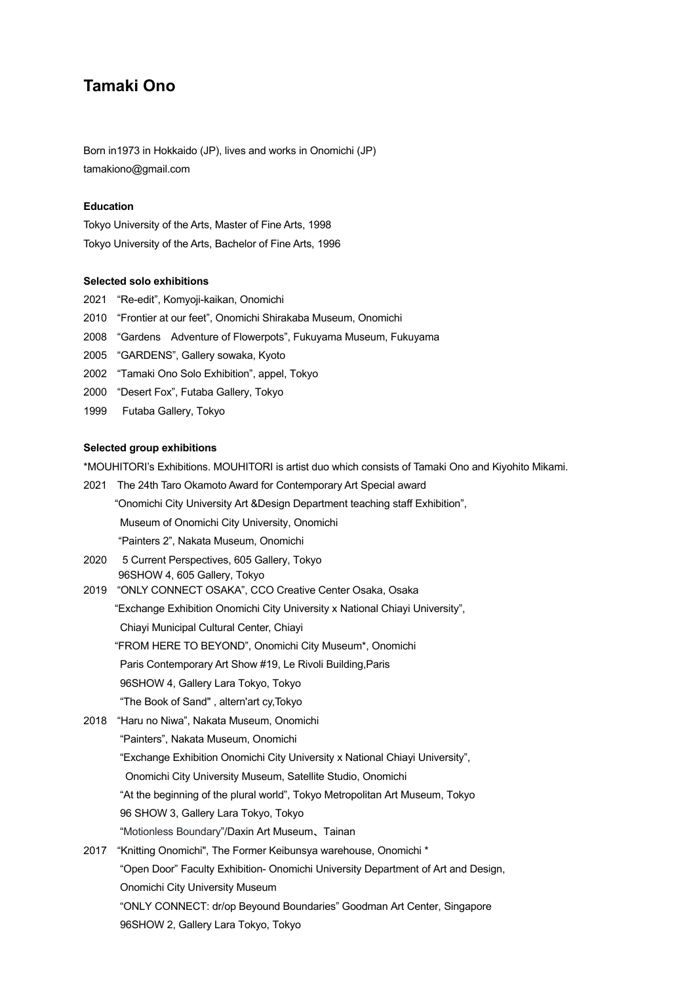# **Tamaki Ono**

Born in1973 in Hokkaido (JP), lives and works in Onomichi (JP) tamakiono@gmail.com

# **Education**

Tokyo University of the Arts, Master of Fine Arts, 1998 Tokyo University of the Arts, Bachelor of Fine Arts, 1996

## **Selected solo exhibitions**

- 2021 "Re-edit", Komyoji-kaikan, Onomichi
- 2010 "Frontier at our feet", Onomichi Shirakaba Museum, Onomichi
- 2008 "Gardens Adventure of Flowerpots", Fukuyama Museum, Fukuyama
- 2005 "GARDENS", Gallery sowaka, Kyoto
- 2002 "Tamaki Ono Solo Exhibition", appel, Tokyo
- 2000 "Desert Fox", Futaba Gallery, Tokyo
- 1999 Futaba Gallery, Tokyo

#### **Selected group exhibitions**

\*MOUHITORI's Exhibitions. MOUHITORI is artist duo which consists of Tamaki Ono and Kiyohito Mikami.

- 2021 The 24th Taro Okamoto Award for Contemporary Art Special award "Onomichi City University Art &Design Department teaching staff Exhibition", Museum of Onomichi City University, Onomichi "Painters 2", Nakata Museum, Onomichi
- 2020 5 Current Perspectives, 605 Gallery, Tokyo 96SHOW 4, 605 Gallery, Tokyo
- 2019 "ONLY CONNECT OSAKA", CCO Creative Center Osaka, Osaka "Exchange Exhibition Onomichi City University x National Chiayi University", Chiayi Municipal Cultural Center, Chiayi "FROM HERE TO BEYOND", Onomichi City Museum\*, Onomichi Paris Contemporary Art Show #19, Le Rivoli Building,Paris 96SHOW 4, Gallery Lara Tokyo, Tokyo "The Book of Sand" , altern'art cy,Tokyo
- 2018 "Haru no Niwa", Nakata Museum, Onomichi "Painters", Nakata Museum, Onomichi "Exchange Exhibition Onomichi City University x National Chiayi University", Onomichi City University Museum, Satellite Studio, Onomichi "At the beginning of the plural world", Tokyo Metropolitan Art Museum, Tokyo 96 SHOW 3, Gallery Lara Tokyo, Tokyo "Motionless Boundary"/Daxin Art Museum、Tainan 2017 "Knitting Onomichi", The Former Keibunsya warehouse, Onomichi \*
	- "Open Door" Faculty Exhibition- Onomichi University Department of Art and Design, Onomichi City University Museum "ONLY CONNECT: dr/op Beyound Boundaries" Goodman Art Center, Singapore 96SHOW 2, Gallery Lara Tokyo, Tokyo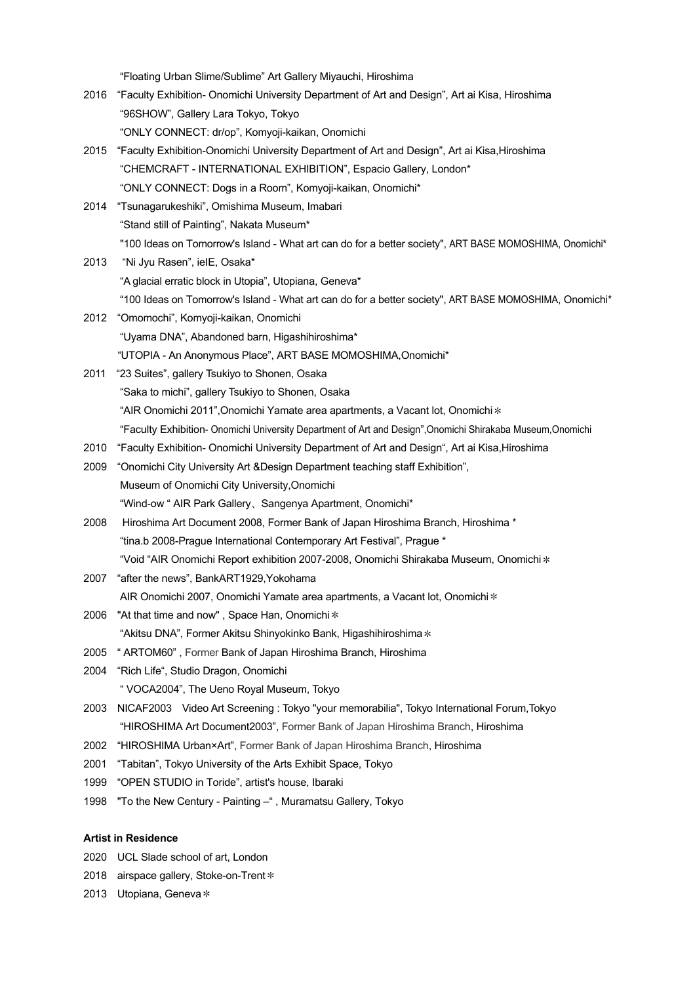"Floating Urban Slime/Sublime" Art Gallery Miyauchi, Hiroshima

- 2016 "Faculty Exhibition- Onomichi University Department of Art and Design", Art ai Kisa, Hiroshima "96SHOW", Gallery Lara Tokyo, Tokyo "ONLY CONNECT: dr/op", Komyoji-kaikan, Onomichi
- 2015 "Faculty Exhibition-Onomichi University Department of Art and Design", Art ai Kisa,Hiroshima "CHEMCRAFT - INTERNATIONAL EXHIBITION", Espacio Gallery, London\* "ONLY CONNECT: Dogs in a Room", Komyoji-kaikan, Onomichi\*
- 2014 "Tsunagarukeshiki", Omishima Museum, Imabari "Stand still of Painting", Nakata Museum\* "100 Ideas on Tomorrow's Island - What art can do for a better society", ART BASE MOMOSHIMA, Onomichi\*
- 2013 "Ni Jyu Rasen", ieIE, Osaka\* "A glacial erratic block in Utopia", Utopiana, Geneva\* "100 Ideas on Tomorrow's Island - What art can do for a better society", ART BASE MOMOSHIMA, Onomichi\*
- 2012 "Omomochi", Komyoji-kaikan, Onomichi "Uyama DNA", Abandoned barn, Higashihiroshima\* "UTOPIA - An Anonymous Place", ART BASE MOMOSHIMA,Onomichi\*
- 2011 "23 Suites", gallery Tsukiyo to Shonen, Osaka "Saka to michi", gallery Tsukiyo to Shonen, Osaka "AIR Onomichi 2011", Onomichi Yamate area apartments, a Vacant lot, Onomichi  $*$ "Faculty Exhibition- Onomichi University Department of Art and Design",Onomichi Shirakaba Museum,Onomichi
- 2010 "Faculty Exhibition- Onomichi University Department of Art and Design", Art ai Kisa,Hiroshima
- 2009 "Onomichi City University Art &Design Department teaching staff Exhibition", Museum of Onomichi City University,Onomichi "Wind-ow " AIR Park Gallery、Sangenya Apartment, Onomichi\*
- 2008 Hiroshima Art Document 2008, Former Bank of Japan Hiroshima Branch, Hiroshima \* "tina.b 2008-Prague International Contemporary Art Festival", Prague \* "Void "AIR Onomichi Report exhibition 2007-2008, Onomichi Shirakaba Museum, Onomichi\*
- 2007 "after the news", BankART1929,Yokohama AIR Onomichi 2007, Onomichi Yamate area apartments, a Vacant lot, Onomichi\*
- 2006 "At that time and now", Space Han, Onomichi  $*$ "Akitsu DNA", Former Akitsu Shinyokinko Bank, Higashihiroshima\*
- 2005 " ARTOM60" , Former Bank of Japan Hiroshima Branch, Hiroshima
- 2004 "Rich Life", Studio Dragon, Onomichi

" VOCA2004", The Ueno Royal Museum, Tokyo

- 2003 NICAF2003 Video Art Screening : Tokyo "your memorabilia", Tokyo International Forum,Tokyo "HIROSHIMA Art Document2003", Former Bank of Japan Hiroshima Branch, Hiroshima
- 2002 "HIROSHIMA Urban×Art", Former Bank of Japan Hiroshima Branch, Hiroshima
- 2001 "Tabitan", Tokyo University of the Arts Exhibit Space, Tokyo
- 1999 "OPEN STUDIO in Toride", artist's house, Ibaraki
- 1998 "To the New Century Painting –" , Muramatsu Gallery, Tokyo

## **Artist in Residence**

- 2020 UCL Slade school of art, London
- 2018 airspace gallery, Stoke-on-Trent  $*$
- 2013 Utopiana, Geneva  $*$